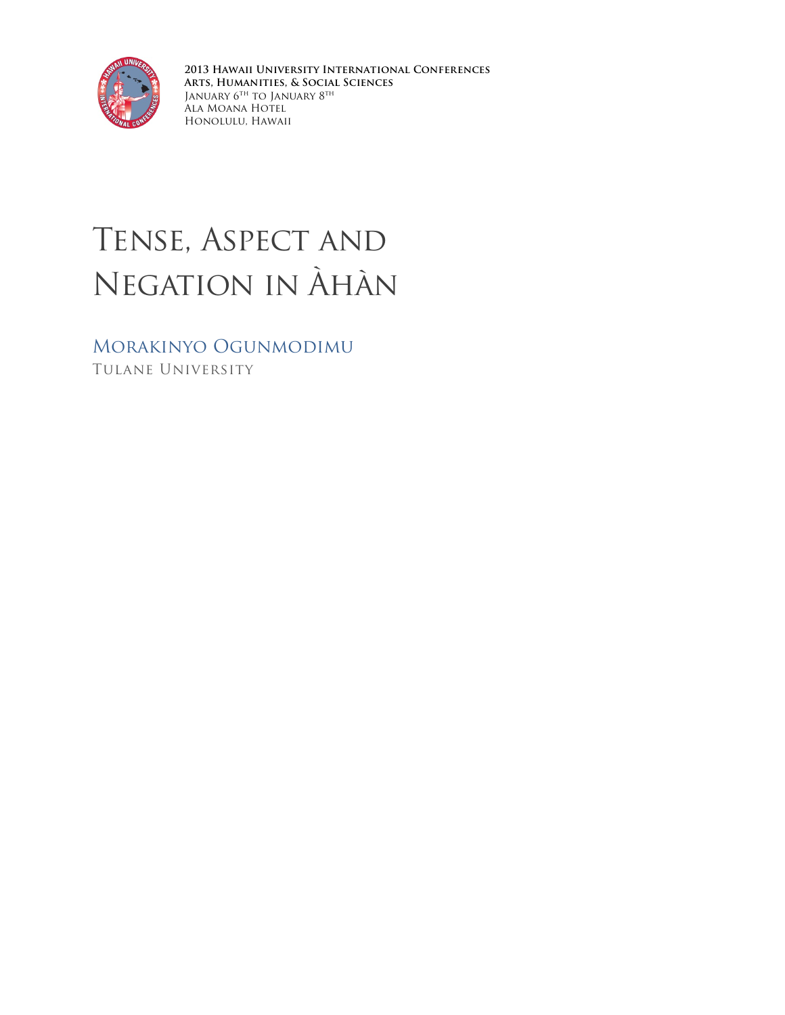

**2013 Hawaii University International Conferences Arts, Humanities, & Social Sciences** January  $6^{\mathrm{th}}$  to January  $8^{\mathrm{th}}$ Ala Moana Hotel Honolulu, Hawaii

# Tense, Aspect and Negation in Àhàn

Morakinyo Ogunmodimu Tulane University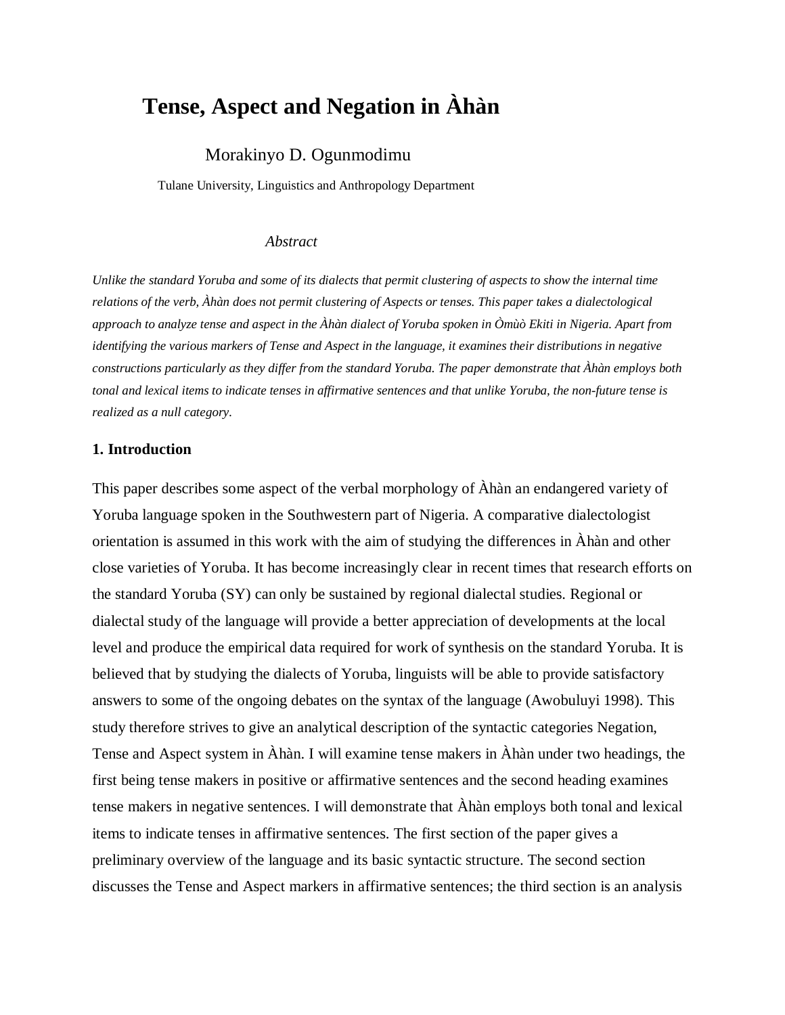# **Tense, Aspect and Negation in Àhàn**

# Morakinyo D. Ogunmodimu

Tulane University, Linguistics and Anthropology Department

#### *Abstract*

*Unlike the standard Yoruba and some of its dialects that permit clustering of aspects to show the internal time relations of the verb, Àhàn does not permit clustering of Aspects or tenses. This paper takes a dialectological approach to analyze tense and aspect in the Àhàn dialect of Yoruba spoken in Òmùò Ekiti in Nigeria. Apart from identifying the various markers of Tense and Aspect in the language, it examines their distributions in negative constructions particularly as they differ from the standard Yoruba. The paper demonstrate that Àhàn employs both tonal and lexical items to indicate tenses in affirmative sentences and that unlike Yoruba, the non-future tense is realized as a null category.* 

#### **1. Introduction**

This paper describes some aspect of the verbal morphology of Àhàn an endangered variety of Yoruba language spoken in the Southwestern part of Nigeria. A comparative dialectologist orientation is assumed in this work with the aim of studying the differences in Àhàn and other close varieties of Yoruba. It has become increasingly clear in recent times that research efforts on the standard Yoruba (SY) can only be sustained by regional dialectal studies. Regional or dialectal study of the language will provide a better appreciation of developments at the local level and produce the empirical data required for work of synthesis on the standard Yoruba. It is believed that by studying the dialects of Yoruba, linguists will be able to provide satisfactory answers to some of the ongoing debates on the syntax of the language (Awobuluyi 1998). This study therefore strives to give an analytical description of the syntactic categories Negation, Tense and Aspect system in Àhàn. I will examine tense makers in Àhàn under two headings, the first being tense makers in positive or affirmative sentences and the second heading examines tense makers in negative sentences. I will demonstrate that Àhàn employs both tonal and lexical items to indicate tenses in affirmative sentences. The first section of the paper gives a preliminary overview of the language and its basic syntactic structure. The second section discusses the Tense and Aspect markers in affirmative sentences; the third section is an analysis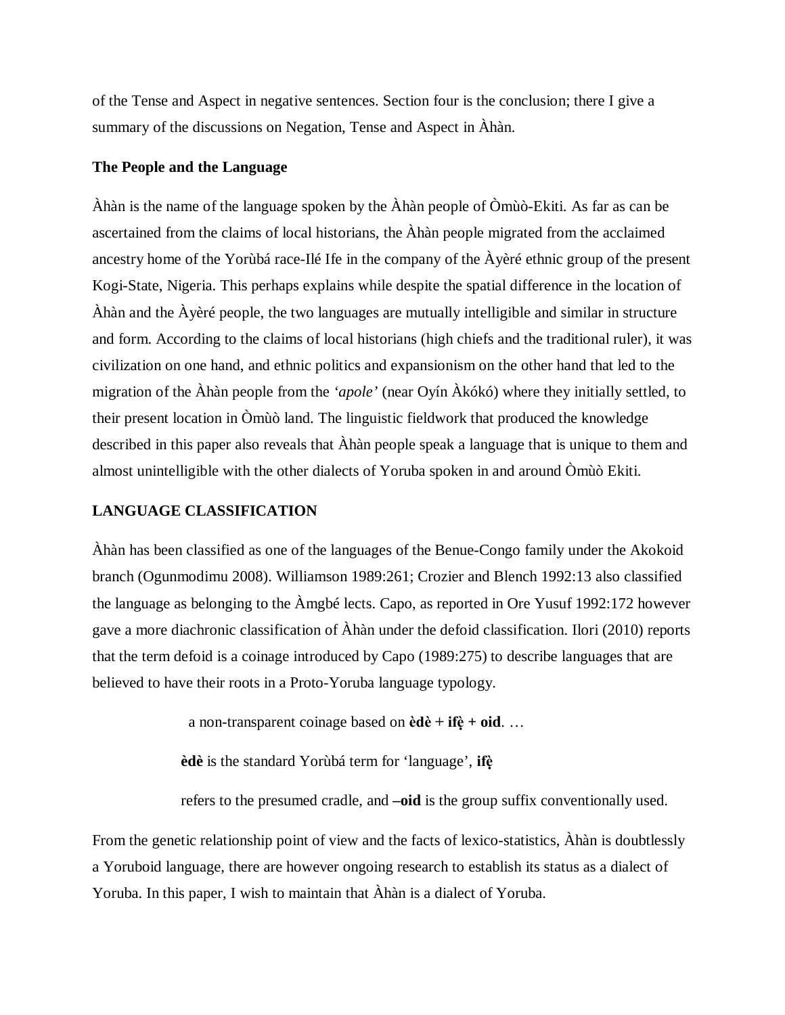of the Tense and Aspect in negative sentences. Section four is the conclusion; there I give a summary of the discussions on Negation, Tense and Aspect in Àhàn.

## **The People and the Language**

Àhàn is the name of the language spoken by the Àhàn people of Òmùò-Ekiti. As far as can be ascertained from the claims of local historians, the Àhàn people migrated from the acclaimed ancestry home of the Yorùbá race-Ilé Ife in the company of the Àyèré ethnic group of the present Kogi-State, Nigeria. This perhaps explains while despite the spatial difference in the location of Àhàn and the Àyèré people, the two languages are mutually intelligible and similar in structure and form. According to the claims of local historians (high chiefs and the traditional ruler), it was civilization on one hand, and ethnic politics and expansionism on the other hand that led to the migration of the Àhàn people from the *'apole'* (near Oyín Àkókó) where they initially settled, to their present location in Òmùò land. The linguistic fieldwork that produced the knowledge described in this paper also reveals that Àhàn people speak a language that is unique to them and almost unintelligible with the other dialects of Yoruba spoken in and around Òmùò Ekiti.

# **LANGUAGE CLASSIFICATION**

Àhàn has been classified as one of the languages of the Benue-Congo family under the Akokoid branch (Ogunmodimu 2008). Williamson 1989:261; Crozier and Blench 1992:13 also classified the language as belonging to the Àmgbé lects. Capo, as reported in Ore Yusuf 1992:172 however gave a more diachronic classification of Àhàn under the defoid classification. Ilori (2010) reports that the term defoid is a coinage introduced by Capo (1989:275) to describe languages that are believed to have their roots in a Proto-Yoruba language typology.

a non-transparent coinage based on **èdè + ifè ̣+ oid**. …

 **èdè** is the standard Yorùbá term for 'language', **ifè ̣**

refers to the presumed cradle, and **–oid** is the group suffix conventionally used.

From the genetic relationship point of view and the facts of lexico-statistics, Àhàn is doubtlessly a Yoruboid language, there are however ongoing research to establish its status as a dialect of Yoruba. In this paper, I wish to maintain that Àhàn is a dialect of Yoruba.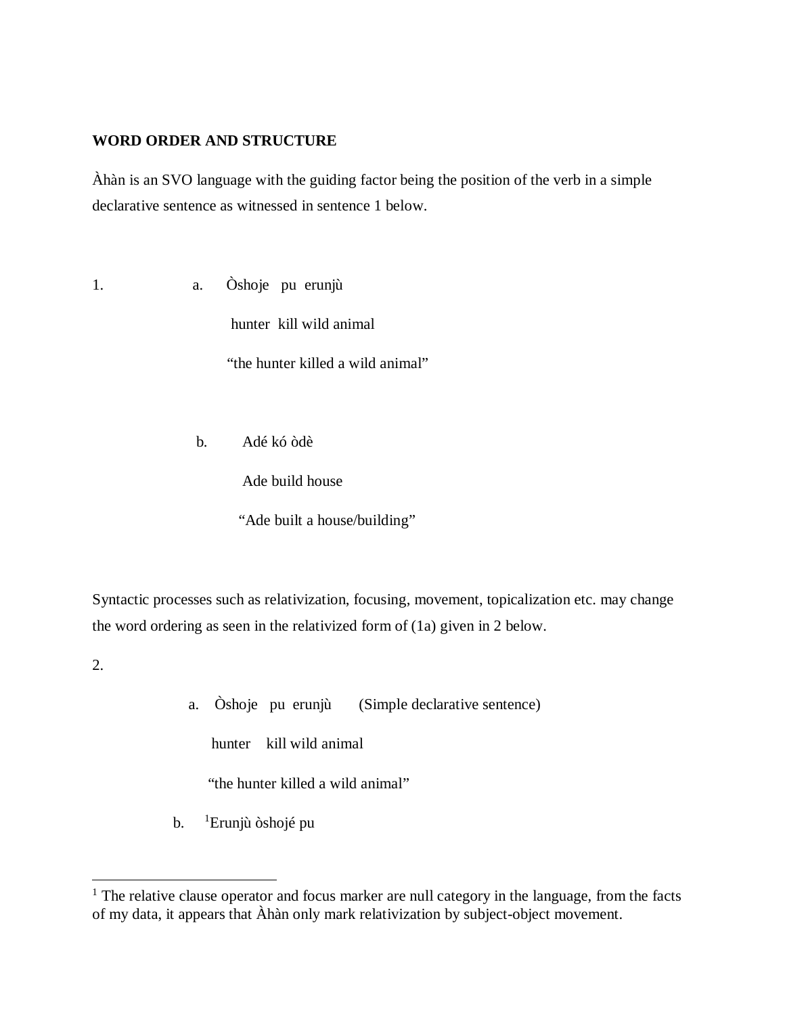# **WORD ORDER AND STRUCTURE**

Àhàn is an SVO language with the guiding factor being the position of the verb in a simple declarative sentence as witnessed in sentence 1 below.

1. a. Òshoje pu erunjù

hunter kill wild animal

"the hunter killed a wild animal"

b. Adé kó òdè

Ade build house

"Ade built a house/building"

Syntactic processes such as relativization, focusing, movement, topicalization etc. may change the word ordering as seen in the relativized form of (1a) given in 2 below.

2.

 $\overline{a}$ 

a. Òshoje pu erunjù (Simple declarative sentence)

hunter kill wild animal

"the hunter killed a wild animal"

 $\mathbf{b}$ . Erunjù òshojé pu

<span id="page-3-0"></span><sup>&</sup>lt;sup>1</sup> The relative clause operator and focus marker are null category in the language, from the facts of my data, it appears that Àhàn only mark relativization by subject-object movement.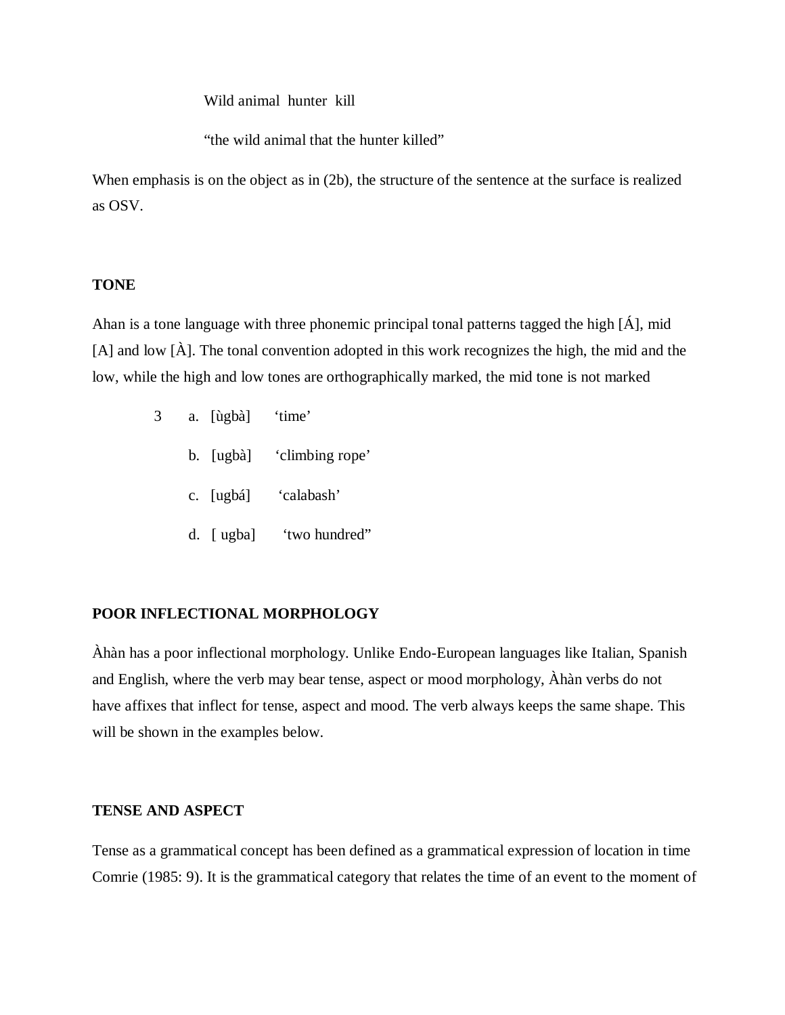Wild animal hunter kill

"the wild animal that the hunter killed"

When emphasis is on the object as in (2b), the structure of the sentence at the surface is realized as OSV.

### **TONE**

Ahan is a tone language with three phonemic principal tonal patterns tagged the high [Á], mid [A] and low [À]. The tonal convention adopted in this work recognizes the high, the mid and the low, while the high and low tones are orthographically marked, the mid tone is not marked

- 3 a. [ùgbà] 'time'
	- b. [ugbà] 'climbing rope'
	- c. [ugbá] 'calabash'
	- d. [ ugba] 'two hundred"

# **POOR INFLECTIONAL MORPHOLOGY**

Àhàn has a poor inflectional morphology. Unlike Endo-European languages like Italian, Spanish and English, where the verb may bear tense, aspect or mood morphology, Àhàn verbs do not have affixes that inflect for tense, aspect and mood. The verb always keeps the same shape. This will be shown in the examples below.

# **TENSE AND ASPECT**

Tense as a grammatical concept has been defined as a grammatical expression of location in time Comrie (1985: 9). It is the grammatical category that relates the time of an event to the moment of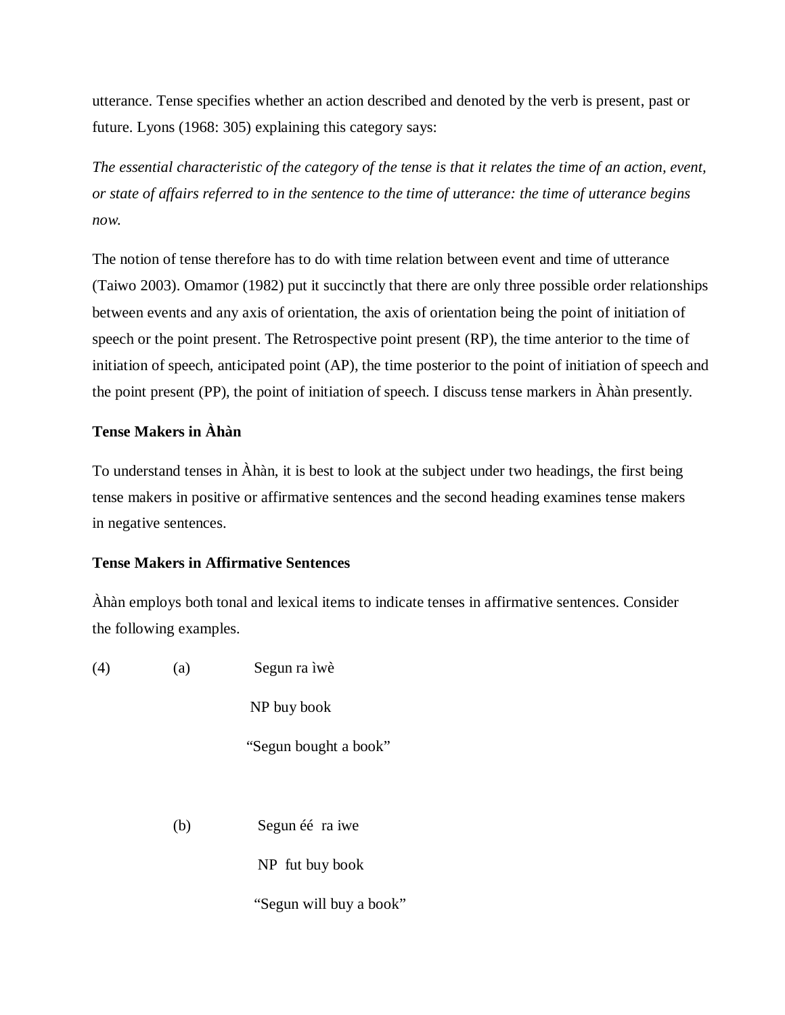utterance. Tense specifies whether an action described and denoted by the verb is present, past or future. Lyons (1968: 305) explaining this category says:

*The essential characteristic of the category of the tense is that it relates the time of an action, event, or state of affairs referred to in the sentence to the time of utterance: the time of utterance begins now.*

The notion of tense therefore has to do with time relation between event and time of utterance (Taiwo 2003). Omamor (1982) put it succinctly that there are only three possible order relationships between events and any axis of orientation, the axis of orientation being the point of initiation of speech or the point present. The Retrospective point present (RP), the time anterior to the time of initiation of speech, anticipated point (AP), the time posterior to the point of initiation of speech and the point present (PP), the point of initiation of speech. I discuss tense markers in Àhàn presently.

# **Tense Makers in Àhàn**

To understand tenses in Àhàn, it is best to look at the subject under two headings, the first being tense makers in positive or affirmative sentences and the second heading examines tense makers in negative sentences.

# **Tense Makers in Affirmative Sentences**

Àhàn employs both tonal and lexical items to indicate tenses in affirmative sentences. Consider the following examples.

(4) (a) Segun ra ìwè

NP buy book

"Segun bought a book"

(b) Segun éé ra iwe

NP fut buy book

"Segun will buy a book"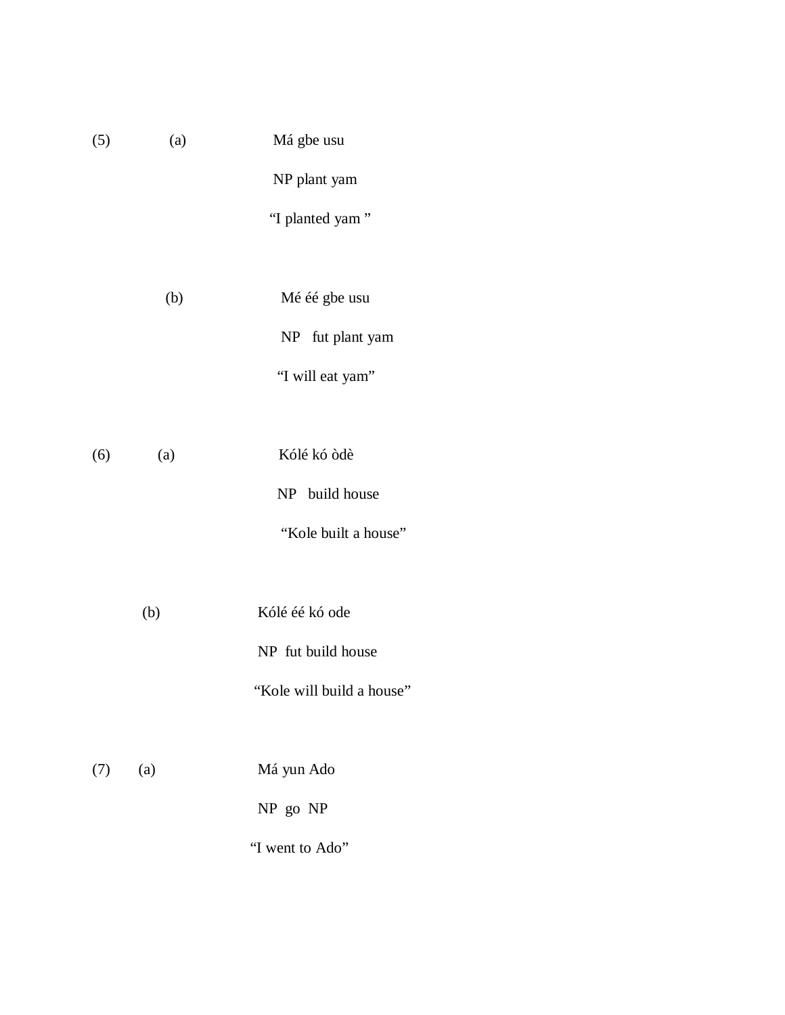| (5) | (a) | Má gbe usu      |
|-----|-----|-----------------|
|     |     | NP plant yam    |
|     |     | "I planted yam" |
|     |     |                 |

- (b) Mé éé gbe usu NP fut plant yam "I will eat yam"
- (6) (a) Kólé kó òdè NP build house "Kole built a house"
	- (b) Kólé éé kó ode NP fut build house
		- "Kole will build a house"

| (7) | (a) | Má yun Ado |
|-----|-----|------------|
|     |     | NP go NP   |

"I went to Ado"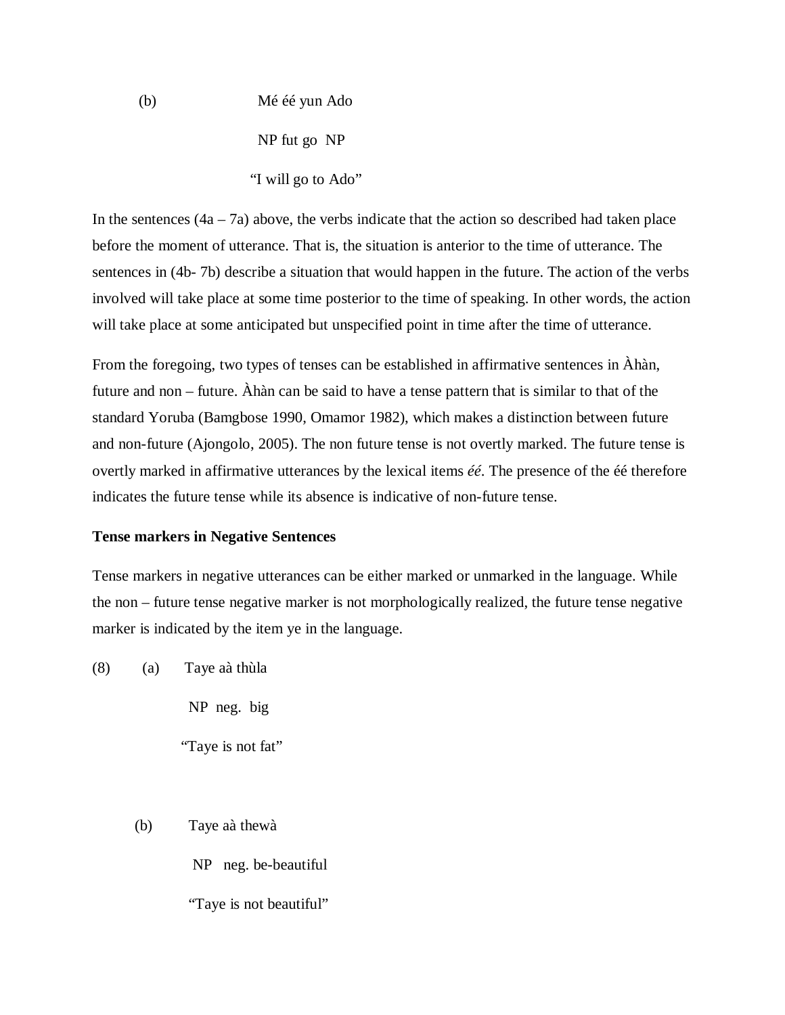(b) Mé éé yun Ado NP fut go NP "I will go to Ado"

In the sentences  $(4a - 7a)$  above, the verbs indicate that the action so described had taken place before the moment of utterance. That is, the situation is anterior to the time of utterance. The sentences in (4b- 7b) describe a situation that would happen in the future. The action of the verbs involved will take place at some time posterior to the time of speaking. In other words, the action will take place at some anticipated but unspecified point in time after the time of utterance.

From the foregoing, two types of tenses can be established in affirmative sentences in Àhàn, future and non – future. Àhàn can be said to have a tense pattern that is similar to that of the standard Yoruba (Bamgbose 1990, Omamor 1982), which makes a distinction between future and non-future (Ajongolo, 2005). The non future tense is not overtly marked. The future tense is overtly marked in affirmative utterances by the lexical items *éé*. The presence of the éé therefore indicates the future tense while its absence is indicative of non-future tense.

#### **Tense markers in Negative Sentences**

Tense markers in negative utterances can be either marked or unmarked in the language. While the non – future tense negative marker is not morphologically realized, the future tense negative marker is indicated by the item ye in the language.

(8) (a) Taye aà thùla

NP neg. big

"Taye is not fat"

(b) Taye aà thewà

NP neg. be-beautiful

"Taye is not beautiful"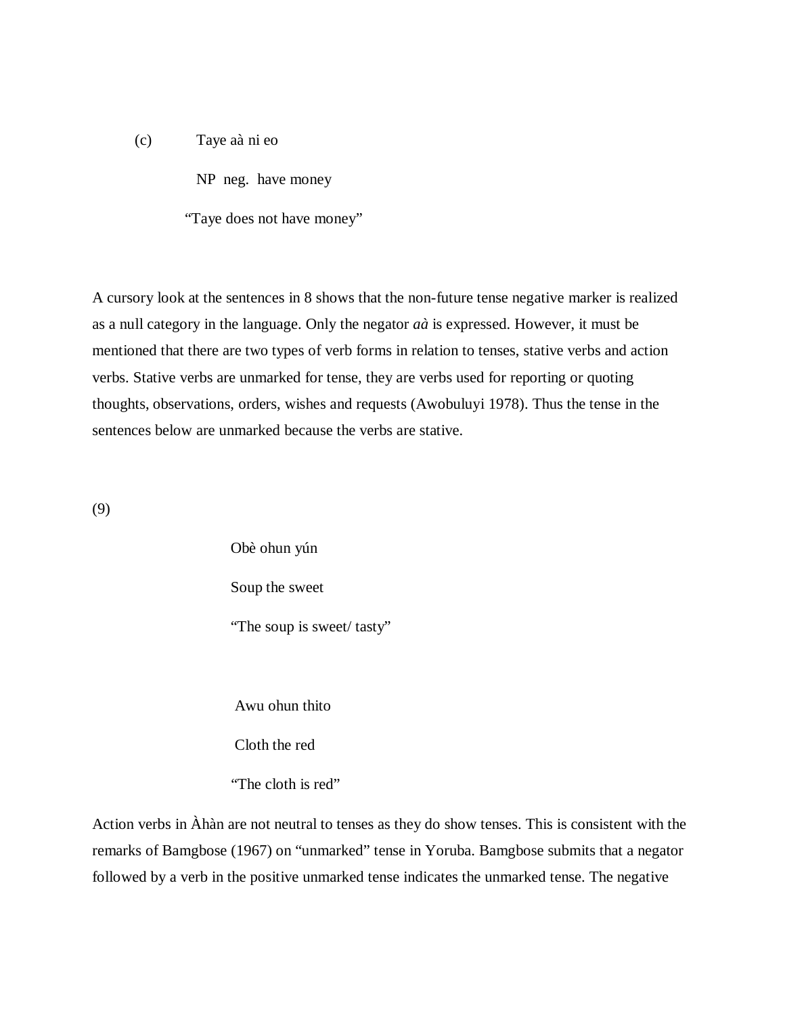- (c) Taye aà ni eo
	- NP neg. have money

"Taye does not have money"

A cursory look at the sentences in 8 shows that the non-future tense negative marker is realized as a null category in the language. Only the negator *aà* is expressed. However, it must be mentioned that there are two types of verb forms in relation to tenses, stative verbs and action verbs. Stative verbs are unmarked for tense, they are verbs used for reporting or quoting thoughts, observations, orders, wishes and requests (Awobuluyi 1978). Thus the tense in the sentences below are unmarked because the verbs are stative.

(9)

Obè ohun yún Soup the sweet "The soup is sweet/ tasty"

Awu ohun thito

Cloth the red

"The cloth is red"

Action verbs in Àhàn are not neutral to tenses as they do show tenses. This is consistent with the remarks of Bamgbose (1967) on "unmarked" tense in Yoruba. Bamgbose submits that a negator followed by a verb in the positive unmarked tense indicates the unmarked tense. The negative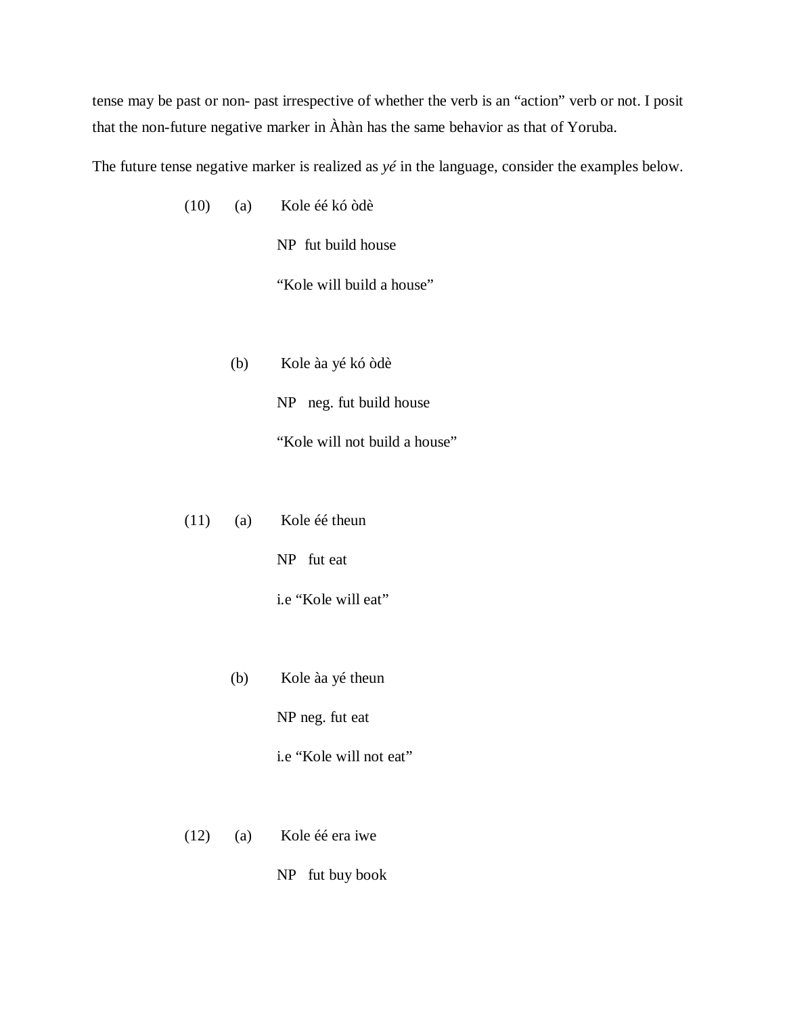tense may be past or non- past irrespective of whether the verb is an "action" verb or not. I posit that the non-future negative marker in Àhàn has the same behavior as that of Yoruba.

The future tense negative marker is realized as *yé* in the language, consider the examples below.

(10) (a) Kole éé kó òdè

NP fut build house

"Kole will build a house"

(b) Kole àa yé kó òdè

NP neg. fut build house

"Kole will not build a house"

(11) (a) Kole éé theun

NP fut eat

i.e "Kole will eat"

(b) Kole àa yé theun

NP neg. fut eat

i.e "Kole will not eat"

- (12) (a) Kole éé era iwe
	- NP fut buy book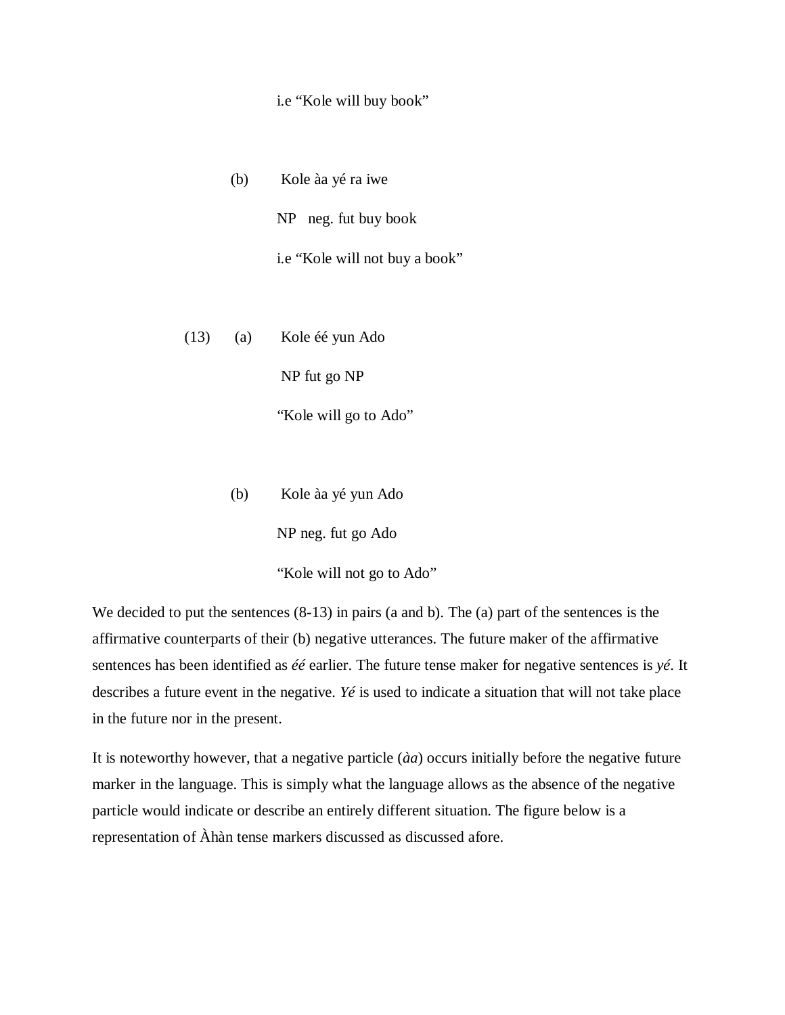#### i.e "Kole will buy book"

(b) Kole àa yé ra iwe

NP neg. fut buy book

i.e "Kole will not buy a book"

(13) (a) Kole éé yun Ado

NP fut go NP

"Kole will go to Ado"

(b) Kole àa yé yun Ado

NP neg. fut go Ado

"Kole will not go to Ado"

We decided to put the sentences  $(8-13)$  in pairs (a and b). The (a) part of the sentences is the affirmative counterparts of their (b) negative utterances. The future maker of the affirmative sentences has been identified as *éé* earlier. The future tense maker for negative sentences is *yé*. It describes a future event in the negative. *Yé* is used to indicate a situation that will not take place in the future nor in the present.

It is noteworthy however, that a negative particle (*àa*) occurs initially before the negative future marker in the language. This is simply what the language allows as the absence of the negative particle would indicate or describe an entirely different situation. The figure below is a representation of Àhàn tense markers discussed as discussed afore.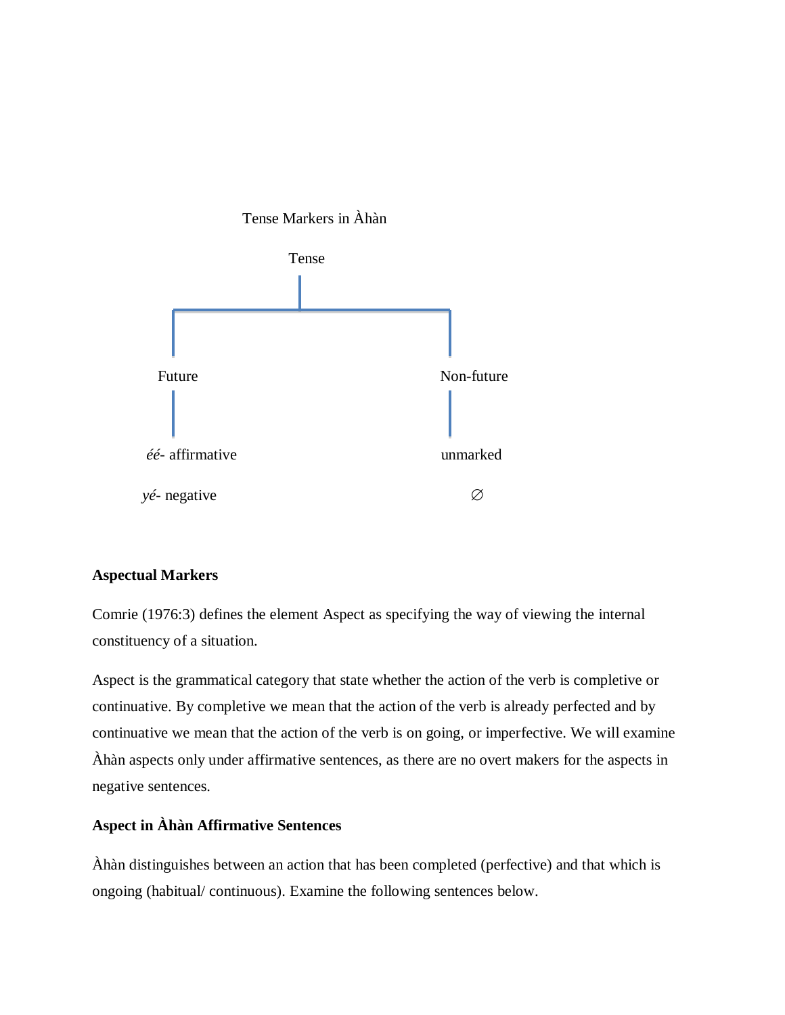

# **Aspectual Markers**

Comrie (1976:3) defines the element Aspect as specifying the way of viewing the internal constituency of a situation.

Aspect is the grammatical category that state whether the action of the verb is completive or continuative. By completive we mean that the action of the verb is already perfected and by continuative we mean that the action of the verb is on going, or imperfective. We will examine Àhàn aspects only under affirmative sentences, as there are no overt makers for the aspects in negative sentences.

# **Aspect in Àhàn Affirmative Sentences**

Àhàn distinguishes between an action that has been completed (perfective) and that which is ongoing (habitual/ continuous). Examine the following sentences below.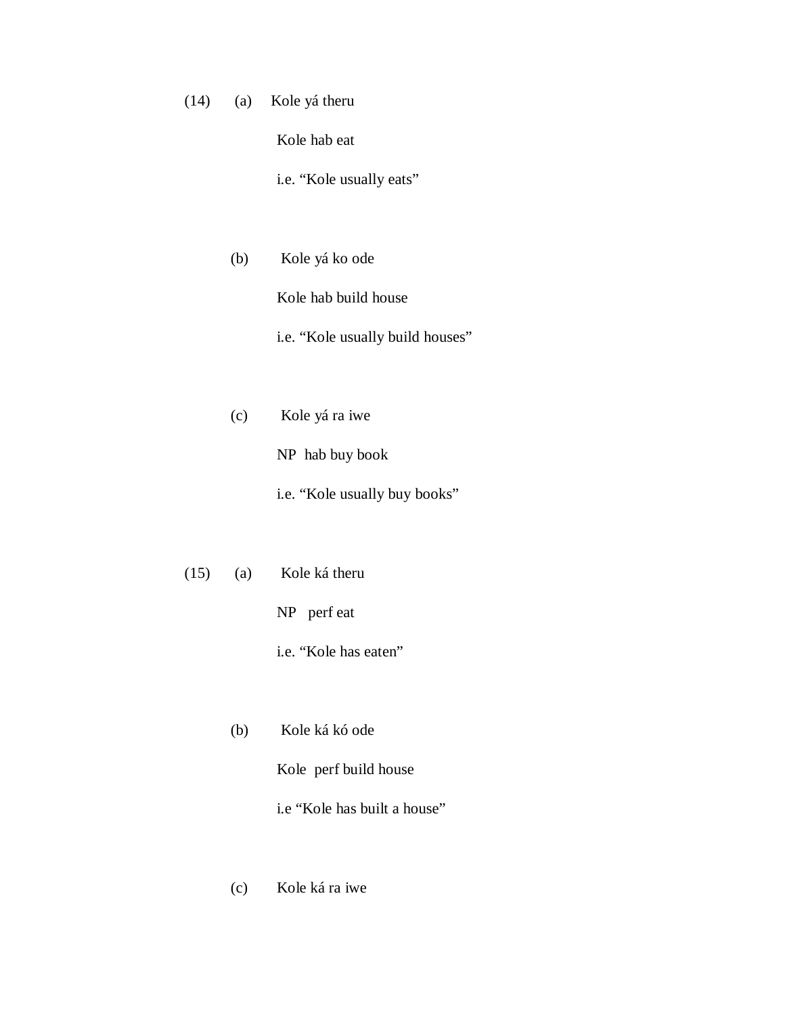(14) (a) Kole yá theru

Kole hab eat

i.e. "Kole usually eats"

- (b) Kole yá ko ode Kole hab build house i.e. "Kole usually build houses"
	-
- (c) Kole yá ra iwe NP hab buy book
	- i.e. "Kole usually buy books"
- (15) (a) Kole ká theru

NP perf eat

i.e. "Kole has eaten"

(b) Kole ká kó ode

Kole perf build house

i.e "Kole has built a house"

(c) Kole ká ra iwe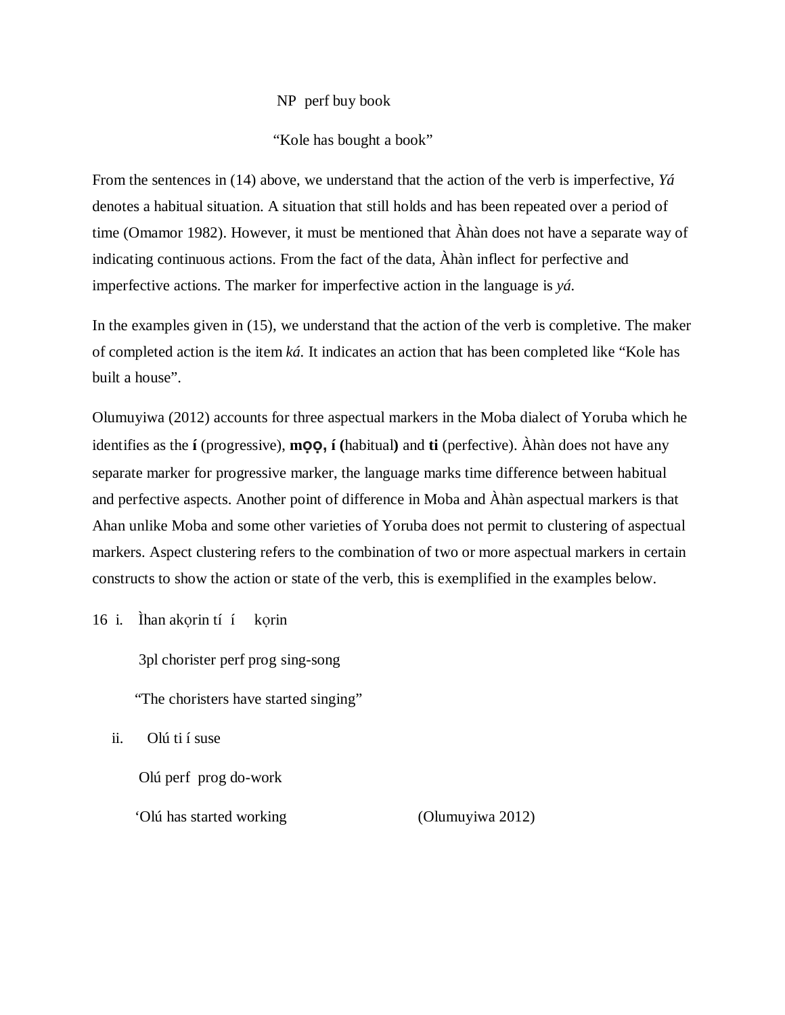### NP perf buy book

"Kole has bought a book"

From the sentences in (14) above, we understand that the action of the verb is imperfective, *Yá* denotes a habitual situation. A situation that still holds and has been repeated over a period of time (Omamor 1982). However, it must be mentioned that Àhàn does not have a separate way of indicating continuous actions. From the fact of the data, Àhàn inflect for perfective and imperfective actions. The marker for imperfective action in the language is *yá.*

In the examples given in (15), we understand that the action of the verb is completive. The maker of completed action is the item *ká.* It indicates an action that has been completed like "Kole has built a house".

Olumuyiwa (2012) accounts for three aspectual markers in the Moba dialect of Yoruba which he identifies as the **í** (progressive), **mọọ, í (**habitual**)** and **ti** (perfective). Àhàn does not have any separate marker for progressive marker, the language marks time difference between habitual and perfective aspects. Another point of difference in Moba and Àhàn aspectual markers is that Ahan unlike Moba and some other varieties of Yoruba does not permit to clustering of aspectual markers. Aspect clustering refers to the combination of two or more aspectual markers in certain constructs to show the action or state of the verb, this is exemplified in the examples below.

16 i. Ìhan akọrin tí í kọrin

3pl chorister perf prog sing-song

"The choristers have started singing"

ii. Olú ti í suse

Olú perf prog do-work

'Olú has started working (Olumuyiwa 2012)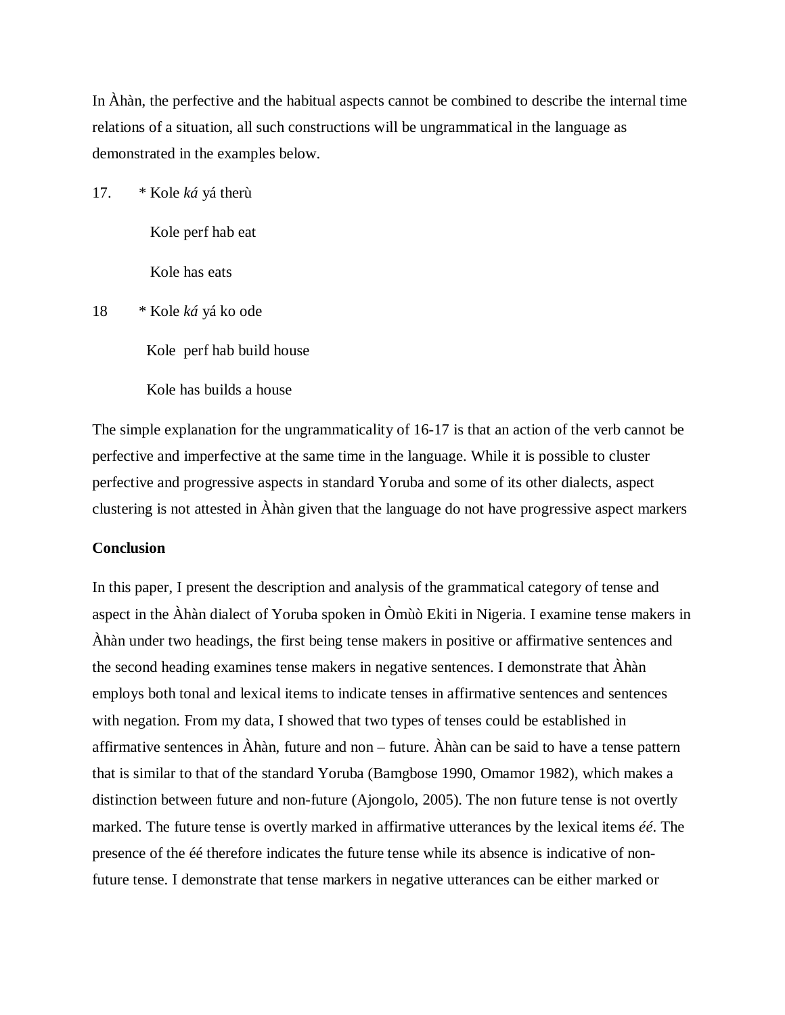In Àhàn, the perfective and the habitual aspects cannot be combined to describe the internal time relations of a situation, all such constructions will be ungrammatical in the language as demonstrated in the examples below.

17. \* Kole *ká* yá therù

Kole perf hab eat

Kole has eats

18 \* Kole *ká* yá ko ode

Kole perf hab build house

Kole has builds a house

The simple explanation for the ungrammaticality of 16-17 is that an action of the verb cannot be perfective and imperfective at the same time in the language. While it is possible to cluster perfective and progressive aspects in standard Yoruba and some of its other dialects, aspect clustering is not attested in Àhàn given that the language do not have progressive aspect markers

### **Conclusion**

In this paper, I present the description and analysis of the grammatical category of tense and aspect in the Àhàn dialect of Yoruba spoken in Òmùò Ekiti in Nigeria. I examine tense makers in Àhàn under two headings, the first being tense makers in positive or affirmative sentences and the second heading examines tense makers in negative sentences. I demonstrate that Àhàn employs both tonal and lexical items to indicate tenses in affirmative sentences and sentences with negation. From my data, I showed that two types of tenses could be established in affirmative sentences in Àhàn, future and non – future. Àhàn can be said to have a tense pattern that is similar to that of the standard Yoruba (Bamgbose 1990, Omamor 1982), which makes a distinction between future and non-future (Ajongolo, 2005). The non future tense is not overtly marked. The future tense is overtly marked in affirmative utterances by the lexical items *éé*. The presence of the éé therefore indicates the future tense while its absence is indicative of nonfuture tense. I demonstrate that tense markers in negative utterances can be either marked or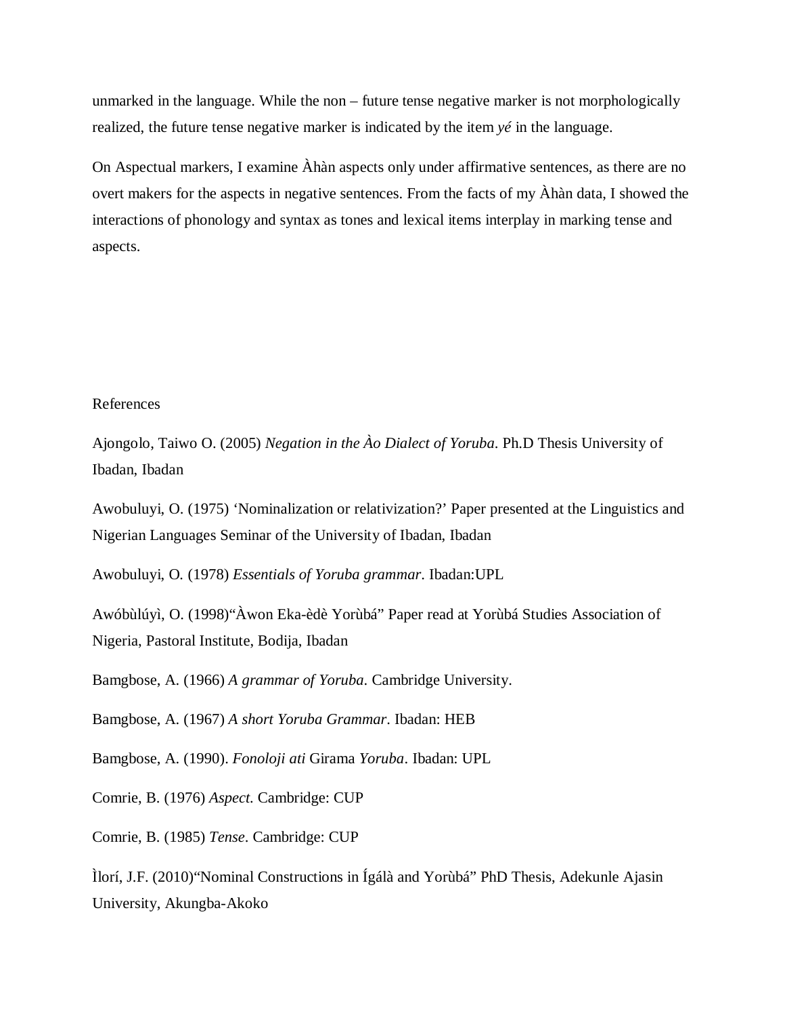unmarked in the language. While the non – future tense negative marker is not morphologically realized, the future tense negative marker is indicated by the item *yé* in the language.

On Aspectual markers, I examine Àhàn aspects only under affirmative sentences, as there are no overt makers for the aspects in negative sentences. From the facts of my Àhàn data, I showed the interactions of phonology and syntax as tones and lexical items interplay in marking tense and aspects.

### References

Ajongolo, Taiwo O. (2005) *Negation in the Ào Dialect of Yoruba*. Ph.D Thesis University of Ibadan, Ibadan

Awobuluyi, O. (1975) 'Nominalization or relativization?' Paper presented at the Linguistics and Nigerian Languages Seminar of the University of Ibadan, Ibadan

Awobuluyi, O*.* (1978) *Essentials of Yoruba grammar*. Ibadan:UPL

Awóbùlúyì, O. (1998)"Àwon Eka-èdè Yorùbá" Paper read at Yorùbá Studies Association of Nigeria, Pastoral Institute, Bodija, Ibadan

Bamgbose, A. (1966) *A grammar of Yoruba*. Cambridge University.

Bamgbose, A. (1967) *A short Yoruba Grammar*. Ibadan: HEB

Bamgbose, A. (1990). *Fonoloji ati* Girama *Yoruba*. Ibadan: UPL

Comrie, B. (1976) *Aspect.* Cambridge: CUP

Comrie, B. (1985) *Tense*. Cambridge: CUP

Ìlorí, J.F. (2010)"Nominal Constructions in Ígálà and Yorùbá" PhD Thesis, Adekunle Ajasin University, Akungba-Akoko